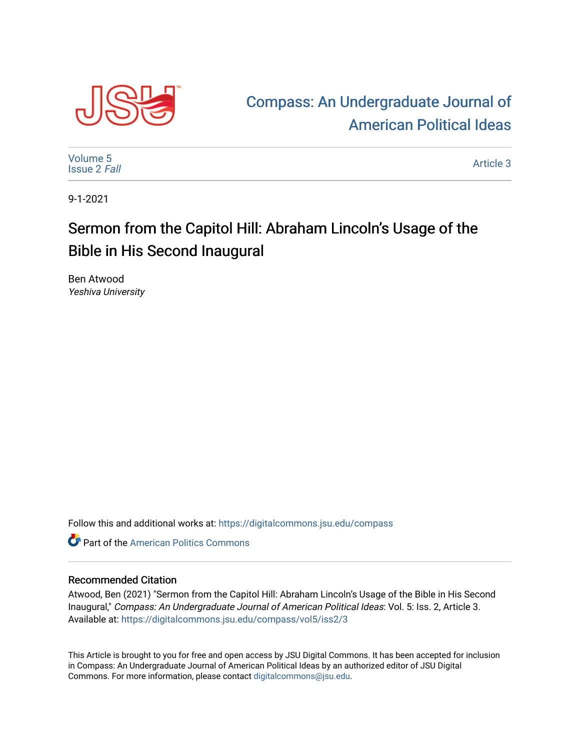

## [Compass: An Undergraduate Journal of](https://digitalcommons.jsu.edu/compass)  [American Political Ideas](https://digitalcommons.jsu.edu/compass)

[Volume 5](https://digitalcommons.jsu.edu/compass/vol5) [Issue 2](https://digitalcommons.jsu.edu/compass/vol5/iss2) Fall

[Article 3](https://digitalcommons.jsu.edu/compass/vol5/iss2/3) 

9-1-2021

## Sermon from the Capitol Hill: Abraham Lincoln's Usage of the Bible in His Second Inaugural

Ben Atwood Yeshiva University

Follow this and additional works at: [https://digitalcommons.jsu.edu/compass](https://digitalcommons.jsu.edu/compass?utm_source=digitalcommons.jsu.edu%2Fcompass%2Fvol5%2Fiss2%2F3&utm_medium=PDF&utm_campaign=PDFCoverPages)

**C** Part of the American Politics Commons

## Recommended Citation

Atwood, Ben (2021) "Sermon from the Capitol Hill: Abraham Lincoln's Usage of the Bible in His Second Inaugural," Compass: An Undergraduate Journal of American Political Ideas: Vol. 5: Iss. 2, Article 3. Available at: [https://digitalcommons.jsu.edu/compass/vol5/iss2/3](https://digitalcommons.jsu.edu/compass/vol5/iss2/3?utm_source=digitalcommons.jsu.edu%2Fcompass%2Fvol5%2Fiss2%2F3&utm_medium=PDF&utm_campaign=PDFCoverPages)

This Article is brought to you for free and open access by JSU Digital Commons. It has been accepted for inclusion in Compass: An Undergraduate Journal of American Political Ideas by an authorized editor of JSU Digital Commons. For more information, please contact [digitalcommons@jsu.edu.](mailto:digitalcommons@jsu.edu)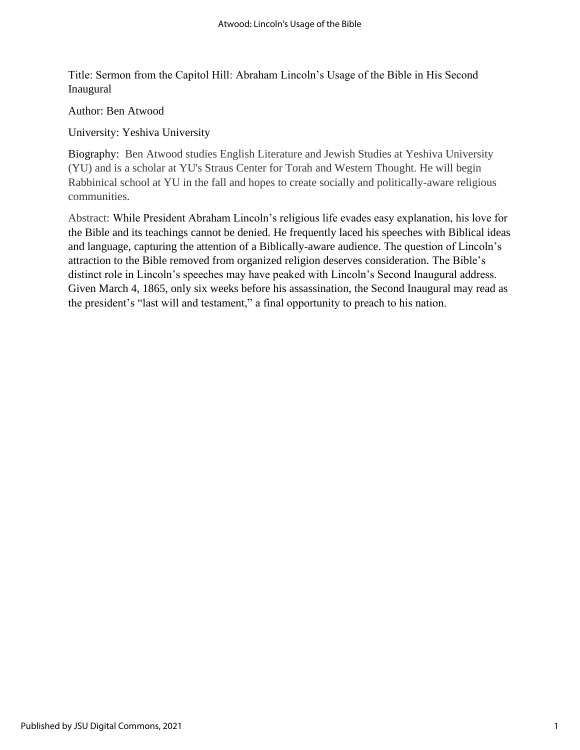Title: Sermon from the Capitol Hill: Abraham Lincoln's Usage of the Bible in His Second Inaugural

Author: Ben Atwood

University: Yeshiva University

Biography: Ben Atwood studies English Literature and Jewish Studies at Yeshiva University (YU) and is a scholar at YU's Straus Center for Torah and Western Thought. He will begin Rabbinical school at YU in the fall and hopes to create socially and politically-aware religious communities.

Abstract: While President Abraham Lincoln's religious life evades easy explanation, his love for the Bible and its teachings cannot be denied. He frequently laced his speeches with Biblical ideas and language, capturing the attention of a Biblically-aware audience. The question of Lincoln's attraction to the Bible removed from organized religion deserves consideration. The Bible's distinct role in Lincoln's speeches may have peaked with Lincoln's Second Inaugural address. Given March 4, 1865, only six weeks before his assassination, the Second Inaugural may read as the president's "last will and testament," a final opportunity to preach to his nation.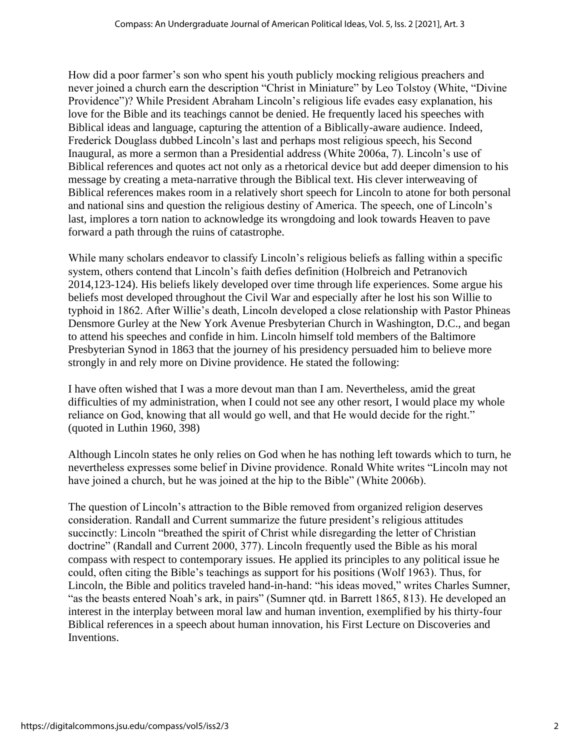How did a poor farmer's son who spent his youth publicly mocking religious preachers and never joined a church earn the description "Christ in Miniature" by Leo Tolstoy (White, "Divine Providence")? While President Abraham Lincoln's religious life evades easy explanation, his love for the Bible and its teachings cannot be denied. He frequently laced his speeches with Biblical ideas and language, capturing the attention of a Biblically-aware audience. Indeed, Frederick Douglass dubbed Lincoln's last and perhaps most religious speech, his Second Inaugural, as more a sermon than a Presidential address (White 2006a, 7). Lincoln's use of Biblical references and quotes act not only as a rhetorical device but add deeper dimension to his message by creating a meta-narrative through the Biblical text. His clever interweaving of Biblical references makes room in a relatively short speech for Lincoln to atone for both personal and national sins and question the religious destiny of America. The speech, one of Lincoln's last, implores a torn nation to acknowledge its wrongdoing and look towards Heaven to pave forward a path through the ruins of catastrophe.

While many scholars endeavor to classify Lincoln's religious beliefs as falling within a specific system, others contend that Lincoln's faith defies definition (Holbreich and Petranovich 2014,123-124). His beliefs likely developed over time through life experiences. Some argue his beliefs most developed throughout the Civil War and especially after he lost his son Willie to typhoid in 1862. After Willie's death, Lincoln developed a close relationship with Pastor Phineas Densmore Gurley at the New York Avenue Presbyterian Church in Washington, D.C., and began to attend his speeches and confide in him. Lincoln himself told members of the Baltimore Presbyterian Synod in 1863 that the journey of his presidency persuaded him to believe more strongly in and rely more on Divine providence. He stated the following:

I have often wished that I was a more devout man than I am. Nevertheless, amid the great difficulties of my administration, when I could not see any other resort, I would place my whole reliance on God, knowing that all would go well, and that He would decide for the right." (quoted in Luthin 1960, 398)

Although Lincoln states he only relies on God when he has nothing left towards which to turn, he nevertheless expresses some belief in Divine providence. Ronald White writes "Lincoln may not have joined a church, but he was joined at the hip to the Bible" (White 2006b).

The question of Lincoln's attraction to the Bible removed from organized religion deserves consideration. Randall and Current summarize the future president's religious attitudes succinctly: Lincoln "breathed the spirit of Christ while disregarding the letter of Christian doctrine" (Randall and Current 2000, 377). Lincoln frequently used the Bible as his moral compass with respect to contemporary issues. He applied its principles to any political issue he could, often citing the Bible's teachings as support for his positions (Wolf 1963). Thus, for Lincoln, the Bible and politics traveled hand-in-hand: "his ideas moved," writes Charles Sumner, "as the beasts entered Noah's ark, in pairs" (Sumner qtd. in Barrett 1865, 813). He developed an interest in the interplay between moral law and human invention, exemplified by his thirty-four Biblical references in a speech about human innovation, his First Lecture on Discoveries and Inventions.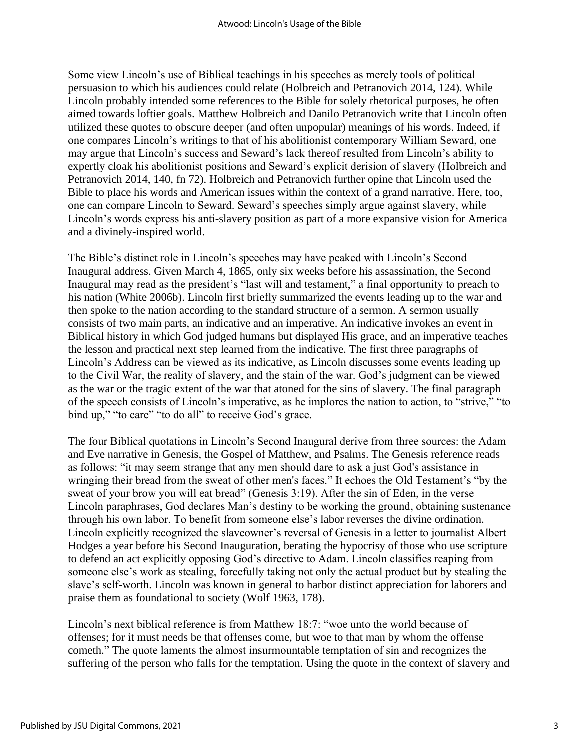Some view Lincoln's use of Biblical teachings in his speeches as merely tools of political persuasion to which his audiences could relate (Holbreich and Petranovich 2014, 124). While Lincoln probably intended some references to the Bible for solely rhetorical purposes, he often aimed towards loftier goals. Matthew Holbreich and Danilo Petranovich write that Lincoln often utilized these quotes to obscure deeper (and often unpopular) meanings of his words. Indeed, if one compares Lincoln's writings to that of his abolitionist contemporary William Seward, one may argue that Lincoln's success and Seward's lack thereof resulted from Lincoln's ability to expertly cloak his abolitionist positions and Seward's explicit derision of slavery (Holbreich and Petranovich 2014, 140, fn 72). Holbreich and Petranovich further opine that Lincoln used the Bible to place his words and American issues within the context of a grand narrative. Here, too, one can compare Lincoln to Seward. Seward's speeches simply argue against slavery, while Lincoln's words express his anti-slavery position as part of a more expansive vision for America and a divinely-inspired world.

The Bible's distinct role in Lincoln's speeches may have peaked with Lincoln's Second Inaugural address. Given March 4, 1865, only six weeks before his assassination, the Second Inaugural may read as the president's "last will and testament," a final opportunity to preach to his nation (White 2006b). Lincoln first briefly summarized the events leading up to the war and then spoke to the nation according to the standard structure of a sermon. A sermon usually consists of two main parts, an indicative and an imperative. An indicative invokes an event in Biblical history in which God judged humans but displayed His grace, and an imperative teaches the lesson and practical next step learned from the indicative. The first three paragraphs of Lincoln's Address can be viewed as its indicative, as Lincoln discusses some events leading up to the Civil War, the reality of slavery, and the stain of the war. God's judgment can be viewed as the war or the tragic extent of the war that atoned for the sins of slavery. The final paragraph of the speech consists of Lincoln's imperative, as he implores the nation to action, to "strive," "to bind up," "to care" "to do all" to receive God's grace.

The four Biblical quotations in Lincoln's Second Inaugural derive from three sources: the Adam and Eve narrative in Genesis, the Gospel of Matthew, and Psalms. The Genesis reference reads as follows: "it may seem strange that any men should dare to ask a just God's assistance in wringing their bread from the sweat of other men's faces." It echoes the Old Testament's "by the sweat of your brow you will eat bread" (Genesis 3:19). After the sin of Eden, in the verse Lincoln paraphrases, God declares Man's destiny to be working the ground, obtaining sustenance through his own labor. To benefit from someone else's labor reverses the divine ordination. Lincoln explicitly recognized the slaveowner's reversal of Genesis in a letter to journalist Albert Hodges a year before his Second Inauguration, berating the hypocrisy of those who use scripture to defend an act explicitly opposing God's directive to Adam. Lincoln classifies reaping from someone else's work as stealing, forcefully taking not only the actual product but by stealing the slave's self-worth. Lincoln was known in general to harbor distinct appreciation for laborers and praise them as foundational to society (Wolf 1963, 178).

Lincoln's next biblical reference is from Matthew 18:7: "woe unto the world because of offenses; for it must needs be that offenses come, but woe to that man by whom the offense cometh." The quote laments the almost insurmountable temptation of sin and recognizes the suffering of the person who falls for the temptation. Using the quote in the context of slavery and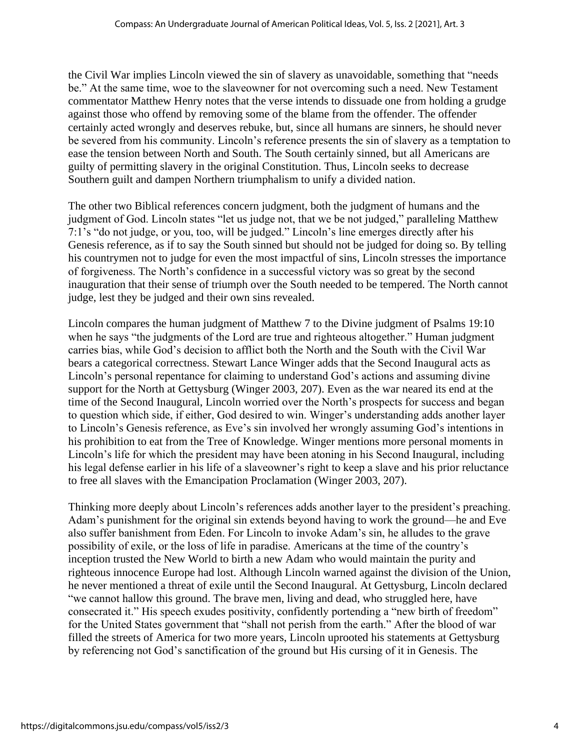the Civil War implies Lincoln viewed the sin of slavery as unavoidable, something that "needs be." At the same time, woe to the slaveowner for not overcoming such a need. New Testament commentator Matthew Henry notes that the verse intends to dissuade one from holding a grudge against those who offend by removing some of the blame from the offender. The offender certainly acted wrongly and deserves rebuke, but, since all humans are sinners, he should never be severed from his community. Lincoln's reference presents the sin of slavery as a temptation to ease the tension between North and South. The South certainly sinned, but all Americans are guilty of permitting slavery in the original Constitution. Thus, Lincoln seeks to decrease Southern guilt and dampen Northern triumphalism to unify a divided nation.

The other two Biblical references concern judgment, both the judgment of humans and the judgment of God. Lincoln states "let us judge not, that we be not judged," paralleling Matthew 7:1's "do not judge, or you, too, will be judged." Lincoln's line emerges directly after his Genesis reference, as if to say the South sinned but should not be judged for doing so. By telling his countrymen not to judge for even the most impactful of sins, Lincoln stresses the importance of forgiveness. The North's confidence in a successful victory was so great by the second inauguration that their sense of triumph over the South needed to be tempered. The North cannot judge, lest they be judged and their own sins revealed.

Lincoln compares the human judgment of Matthew 7 to the Divine judgment of Psalms 19:10 when he says "the judgments of the Lord are true and righteous altogether." Human judgment carries bias, while God's decision to afflict both the North and the South with the Civil War bears a categorical correctness. Stewart Lance Winger adds that the Second Inaugural acts as Lincoln's personal repentance for claiming to understand God's actions and assuming divine support for the North at Gettysburg (Winger 2003, 207). Even as the war neared its end at the time of the Second Inaugural, Lincoln worried over the North's prospects for success and began to question which side, if either, God desired to win. Winger's understanding adds another layer to Lincoln's Genesis reference, as Eve's sin involved her wrongly assuming God's intentions in his prohibition to eat from the Tree of Knowledge. Winger mentions more personal moments in Lincoln's life for which the president may have been atoning in his Second Inaugural, including his legal defense earlier in his life of a slaveowner's right to keep a slave and his prior reluctance to free all slaves with the Emancipation Proclamation (Winger 2003, 207).

Thinking more deeply about Lincoln's references adds another layer to the president's preaching. Adam's punishment for the original sin extends beyond having to work the ground—he and Eve also suffer banishment from Eden. For Lincoln to invoke Adam's sin, he alludes to the grave possibility of exile, or the loss of life in paradise. Americans at the time of the country's inception trusted the New World to birth a new Adam who would maintain the purity and righteous innocence Europe had lost. Although Lincoln warned against the division of the Union, he never mentioned a threat of exile until the Second Inaugural. At Gettysburg, Lincoln declared "we cannot hallow this ground. The brave men, living and dead, who struggled here, have consecrated it." His speech exudes positivity, confidently portending a "new birth of freedom" for the United States government that "shall not perish from the earth." After the blood of war filled the streets of America for two more years, Lincoln uprooted his statements at Gettysburg by referencing not God's sanctification of the ground but His cursing of it in Genesis. The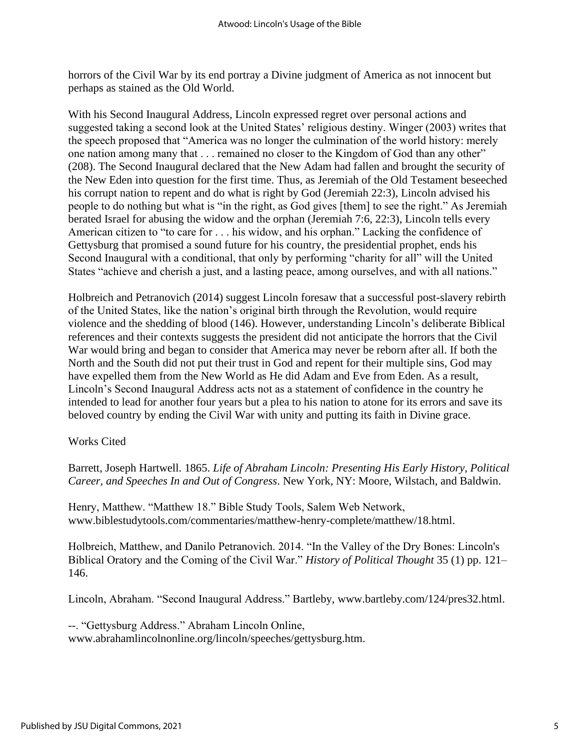horrors of the Civil War by its end portray a Divine judgment of America as not innocent but perhaps as stained as the Old World.

With his Second Inaugural Address, Lincoln expressed regret over personal actions and suggested taking a second look at the United States' religious destiny. Winger (2003) writes that the speech proposed that "America was no longer the culmination of the world history: merely one nation among many that . . . remained no closer to the Kingdom of God than any other" (208). The Second Inaugural declared that the New Adam had fallen and brought the security of the New Eden into question for the first time. Thus, as Jeremiah of the Old Testament beseeched his corrupt nation to repent and do what is right by God (Jeremiah 22:3), Lincoln advised his people to do nothing but what is "in the right, as God gives [them] to see the right." As Jeremiah berated Israel for abusing the widow and the orphan (Jeremiah 7:6, 22:3), Lincoln tells every American citizen to "to care for . . . his widow, and his orphan." Lacking the confidence of Gettysburg that promised a sound future for his country, the presidential prophet, ends his Second Inaugural with a conditional, that only by performing "charity for all" will the United States "achieve and cherish a just, and a lasting peace, among ourselves, and with all nations."

Holbreich and Petranovich (2014) suggest Lincoln foresaw that a successful post-slavery rebirth of the United States, like the nation's original birth through the Revolution, would require violence and the shedding of blood (146). However, understanding Lincoln's deliberate Biblical references and their contexts suggests the president did not anticipate the horrors that the Civil War would bring and began to consider that America may never be reborn after all. If both the North and the South did not put their trust in God and repent for their multiple sins, God may have expelled them from the New World as He did Adam and Eve from Eden. As a result, Lincoln's Second Inaugural Address acts not as a statement of confidence in the country he intended to lead for another four years but a plea to his nation to atone for its errors and save its beloved country by ending the Civil War with unity and putting its faith in Divine grace.

Works Cited

Barrett, Joseph Hartwell. 1865. *Life of Abraham Lincoln: Presenting His Early History, Political Career, and Speeches In and Out of Congress*. New York, NY: Moore, Wilstach, and Baldwin.

Henry, Matthew. "Matthew 18." Bible Study Tools, Salem Web Network, www.biblestudytools.com/commentaries/matthew-henry-complete/matthew/18.html.

Holbreich, Matthew, and Danilo Petranovich. 2014. "In the Valley of the Dry Bones: Lincoln's Biblical Oratory and the Coming of the Civil War." *History of Political Thought* 35 (1) pp. 121– 146.

Lincoln, Abraham. "Second Inaugural Address." Bartleby, www.bartleby.com/124/pres32.html.

--. "Gettysburg Address." Abraham Lincoln Online, www.abrahamlincolnonline.org/lincoln/speeches/gettysburg.htm.